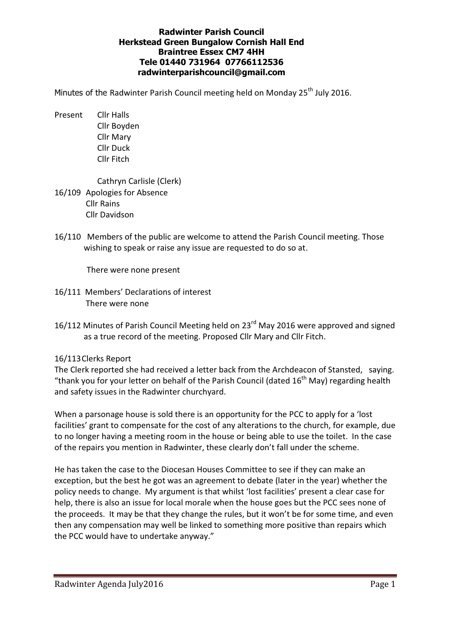## Radwinter Parish Council Herkstead Green Bungalow Cornish Hall End Braintree Essex CM7 4HH Tele 01440 731964 07766112536 radwinterparishcouncil@gmail.com

Minutes of the Radwinter Parish Council meeting held on Monday  $25<sup>th</sup>$  July 2016.

Present Cllr Halls Cllr Boyden Cllr Mary Cllr Duck Cllr Fitch

 Cathryn Carlisle (Clerk) 16/109 Apologies for Absence Cllr Rains Cllr Davidson

16/110 Members of the public are welcome to attend the Parish Council meeting. Those wishing to speak or raise any issue are requested to do so at.

There were none present

- 16/111 Members' Declarations of interest There were none
- 16/112 Minutes of Parish Council Meeting held on 23<sup>rd</sup> May 2016 were approved and signed as a true record of the meeting. Proposed Cllr Mary and Cllr Fitch.

# 16/113 Clerks Report

The Clerk reported she had received a letter back from the Archdeacon of Stansted, saying. "thank you for your letter on behalf of the Parish Council (dated  $16^{th}$  May) regarding health and safety issues in the Radwinter churchyard.

When a parsonage house is sold there is an opportunity for the PCC to apply for a 'lost facilities' grant to compensate for the cost of any alterations to the church, for example, due to no longer having a meeting room in the house or being able to use the toilet. In the case of the repairs you mention in Radwinter, these clearly don't fall under the scheme.

He has taken the case to the Diocesan Houses Committee to see if they can make an exception, but the best he got was an agreement to debate (later in the year) whether the policy needs to change. My argument is that whilst 'lost facilities' present a clear case for help, there is also an issue for local morale when the house goes but the PCC sees none of the proceeds. It may be that they change the rules, but it won't be for some time, and even then any compensation may well be linked to something more positive than repairs which the PCC would have to undertake anyway."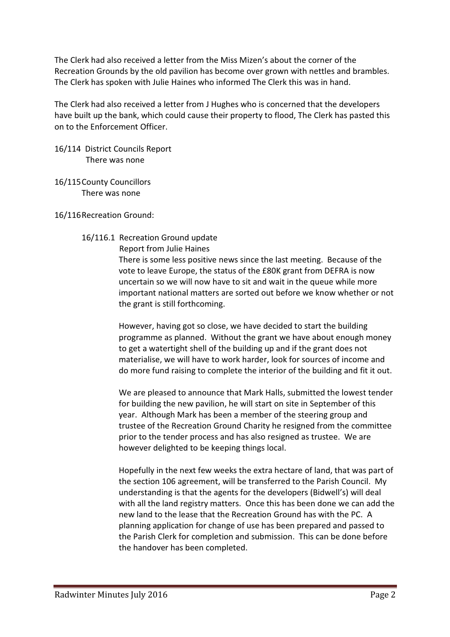The Clerk had also received a letter from the Miss Mizen's about the corner of the Recreation Grounds by the old pavilion has become over grown with nettles and brambles. The Clerk has spoken with Julie Haines who informed The Clerk this was in hand.

The Clerk had also received a letter from J Hughes who is concerned that the developers have built up the bank, which could cause their property to flood, The Clerk has pasted this on to the Enforcement Officer.

16/114 District Councils Report There was none

16/115 County Councillors There was none

16/116 Recreation Ground:

## 16/116.1 Recreation Ground update

## Report from Julie Haines

There is some less positive news since the last meeting. Because of the vote to leave Europe, the status of the £80K grant from DEFRA is now uncertain so we will now have to sit and wait in the queue while more important national matters are sorted out before we know whether or not the grant is still forthcoming.

However, having got so close, we have decided to start the building programme as planned. Without the grant we have about enough money to get a watertight shell of the building up and if the grant does not materialise, we will have to work harder, look for sources of income and do more fund raising to complete the interior of the building and fit it out.

We are pleased to announce that Mark Halls, submitted the lowest tender for building the new pavilion, he will start on site in September of this year. Although Mark has been a member of the steering group and trustee of the Recreation Ground Charity he resigned from the committee prior to the tender process and has also resigned as trustee. We are however delighted to be keeping things local.

Hopefully in the next few weeks the extra hectare of land, that was part of the section 106 agreement, will be transferred to the Parish Council. My understanding is that the agents for the developers (Bidwell's) will deal with all the land registry matters. Once this has been done we can add the new land to the lease that the Recreation Ground has with the PC. A planning application for change of use has been prepared and passed to the Parish Clerk for completion and submission. This can be done before the handover has been completed.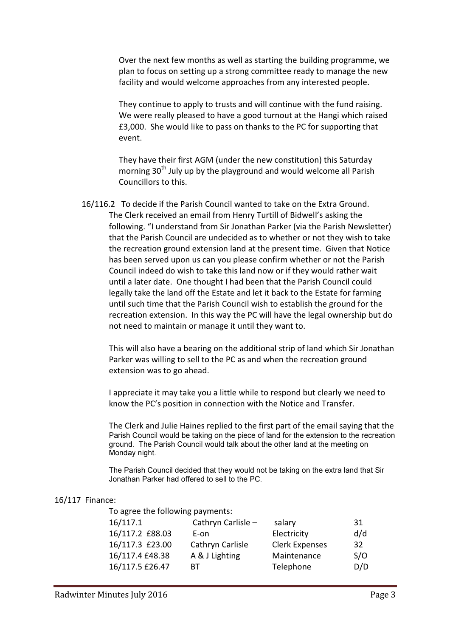Over the next few months as well as starting the building programme, we plan to focus on setting up a strong committee ready to manage the new facility and would welcome approaches from any interested people.

They continue to apply to trusts and will continue with the fund raising. We were really pleased to have a good turnout at the Hangi which raised £3,000. She would like to pass on thanks to the PC for supporting that event.

They have their first AGM (under the new constitution) this Saturday morning 30<sup>th</sup> July up by the playground and would welcome all Parish Councillors to this.

 16/116.2 To decide if the Parish Council wanted to take on the Extra Ground. The Clerk received an email from Henry Turtill of Bidwell's asking the following. "I understand from Sir Jonathan Parker (via the Parish Newsletter) that the Parish Council are undecided as to whether or not they wish to take the recreation ground extension land at the present time. Given that Notice has been served upon us can you please confirm whether or not the Parish Council indeed do wish to take this land now or if they would rather wait until a later date. One thought I had been that the Parish Council could legally take the land off the Estate and let it back to the Estate for farming until such time that the Parish Council wish to establish the ground for the recreation extension. In this way the PC will have the legal ownership but do not need to maintain or manage it until they want to.

This will also have a bearing on the additional strip of land which Sir Jonathan Parker was willing to sell to the PC as and when the recreation ground extension was to go ahead.

I appreciate it may take you a little while to respond but clearly we need to know the PC's position in connection with the Notice and Transfer.

The Clerk and Julie Haines replied to the first part of the email saying that the Parish Council would be taking on the piece of land for the extension to the recreation ground. The Parish Council would talk about the other land at the meeting on Monday night.

The Parish Council decided that they would not be taking on the extra land that Sir Jonathan Parker had offered to sell to the PC.

#### 16/117 Finance:

To agree the following payments:

| 16/117.1        | Cathryn Carlisle - | salary                | 31  |  |
|-----------------|--------------------|-----------------------|-----|--|
| 16/117.2 £88.03 | E-on               | Electricity           | d/d |  |
| 16/117.3 £23.00 | Cathryn Carlisle   | <b>Clerk Expenses</b> | 32  |  |
| 16/117.4 £48.38 | A & J Lighting     | Maintenance           | S/O |  |
| 16/117.5 £26.47 | RТ                 | Telephone             | D/D |  |
|                 |                    |                       |     |  |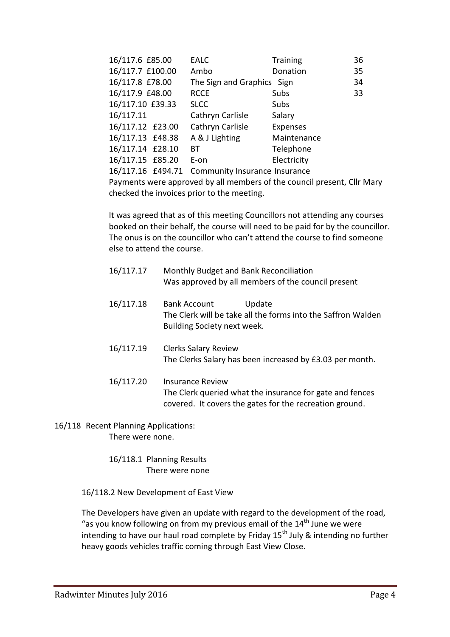| 16/117.6 £85.00  | <b>EALC</b>                                     | <b>Training</b> | 36 |
|------------------|-------------------------------------------------|-----------------|----|
| 16/117.7 £100.00 | Ambo                                            | Donation        | 35 |
| 16/117.8 £78.00  | The Sign and Graphics Sign                      |                 | 34 |
| 16/117.9 £48.00  | <b>RCCE</b>                                     | Subs            | 33 |
| 16/117.10 £39.33 | <b>SLCC</b>                                     | Subs            |    |
| 16/117.11        | Cathryn Carlisle                                | Salary          |    |
| 16/117.12 £23.00 | Cathryn Carlisle                                | <b>Expenses</b> |    |
| 16/117.13 £48.38 | A & J Lighting                                  | Maintenance     |    |
| 16/117.14 £28.10 | BT.                                             | Telephone       |    |
| 16/117.15 £85.20 | E-on                                            | Electricity     |    |
|                  | 16/117.16 £494.71 Community Insurance Insurance |                 |    |

Payments were approved by all members of the council present, Cllr Mary checked the invoices prior to the meeting.

It was agreed that as of this meeting Councillors not attending any courses booked on their behalf, the course will need to be paid for by the councillor. The onus is on the councillor who can't attend the course to find someone else to attend the course.

| 16/117.17 | Monthly Budget and Bank Reconciliation<br>Was approved by all members of the council present                                 |  |
|-----------|------------------------------------------------------------------------------------------------------------------------------|--|
| 16/117.18 | <b>Bank Account</b><br>Update<br>The Clerk will be take all the forms into the Saffron Walden<br>Building Society next week. |  |

- 16/117.19 Clerks Salary Review The Clerks Salary has been increased by £3.03 per month.
- 16/117.20 Insurance Review The Clerk queried what the insurance for gate and fences covered. It covers the gates for the recreation ground.

16/118 Recent Planning Applications: There were none.

> 16/118.1 Planning Results There were none

16/118.2 New Development of East View

The Developers have given an update with regard to the development of the road, "as you know following on from my previous email of the  $14<sup>th</sup>$  June we were intending to have our haul road complete by Friday 15<sup>th</sup> July & intending no further heavy goods vehicles traffic coming through East View Close.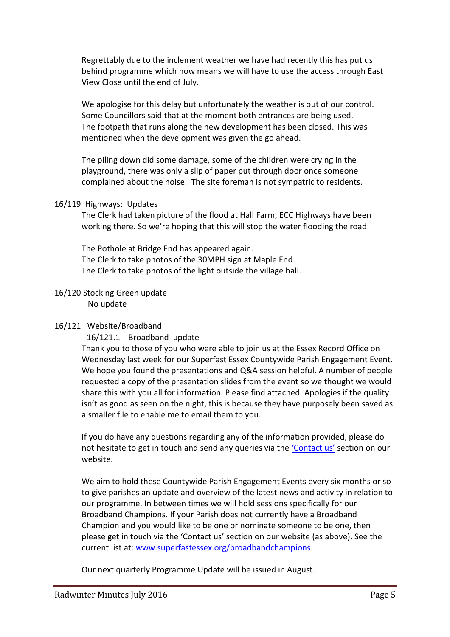Regrettably due to the inclement weather we have had recently this has put us behind programme which now means we will have to use the access through East View Close until the end of July.

We apologise for this delay but unfortunately the weather is out of our control. Some Councillors said that at the moment both entrances are being used. The footpath that runs along the new development has been closed. This was mentioned when the development was given the go ahead.

The piling down did some damage, some of the children were crying in the playground, there was only a slip of paper put through door once someone complained about the noise. The site foreman is not sympatric to residents.

### 16/119 Highways: Updates

The Clerk had taken picture of the flood at Hall Farm, ECC Highways have been working there. So we're hoping that this will stop the water flooding the road.

The Pothole at Bridge End has appeared again. The Clerk to take photos of the 30MPH sign at Maple End. The Clerk to take photos of the light outside the village hall.

# 16/120 Stocking Green update

No update

# 16/121 Website/Broadband

16/121.1 Broadband update

Thank you to those of you who were able to join us at the Essex Record Office on Wednesday last week for our Superfast Essex Countywide Parish Engagement Event. We hope you found the presentations and Q&A session helpful. A number of people requested a copy of the presentation slides from the event so we thought we would share this with you all for information. Please find attached. Apologies if the quality isn't as good as seen on the night, this is because they have purposely been saved as a smaller file to enable me to email them to you.

If you do have any questions regarding any of the information provided, please do not hesitate to get in touch and send any queries via the 'Contact us' section on our website.

We aim to hold these Countywide Parish Engagement Events every six months or so to give parishes an update and overview of the latest news and activity in relation to our programme. In between times we will hold sessions specifically for our Broadband Champions. If your Parish does not currently have a Broadband Champion and you would like to be one or nominate someone to be one, then please get in touch via the 'Contact us' section on our website (as above). See the current list at: www.superfastessex.org/broadbandchampions.

Our next quarterly Programme Update will be issued in August.